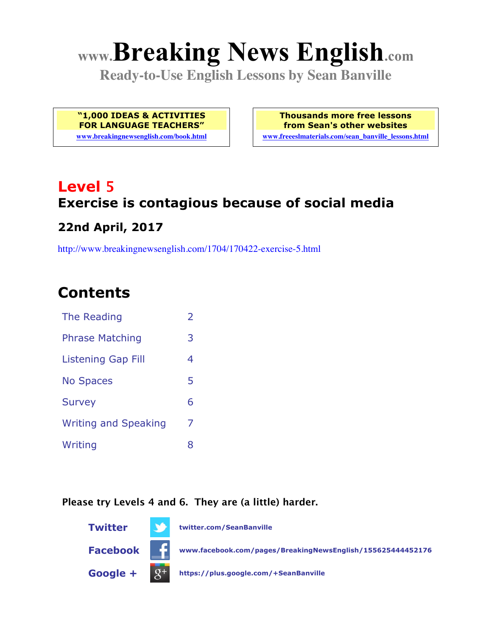# **www.Breaking News English.com**

**Ready-to-Use English Lessons by Sean Banville**

**"1,000 IDEAS & ACTIVITIES FOR LANGUAGE TEACHERS"**

**www.breakingnewsenglish.com/book.html**

**Thousands more free lessons from Sean's other websites www.freeeslmaterials.com/sean\_banville\_lessons.html**

### **Level 5 Exercise is contagious because of social media 22nd April, 2017**

http://www.breakingnewsenglish.com/1704/170422-exercise-5.html

### **Contents**

| The Reading                 | $\overline{\phantom{a}}$ |
|-----------------------------|--------------------------|
| <b>Phrase Matching</b>      | 3                        |
| Listening Gap Fill          | 4                        |
| <b>No Spaces</b>            | 5                        |
| <b>Survey</b>               | 6                        |
| <b>Writing and Speaking</b> | 7                        |
| Writing                     | 8                        |

#### **Please try Levels 4 and 6. They are (a little) harder.**

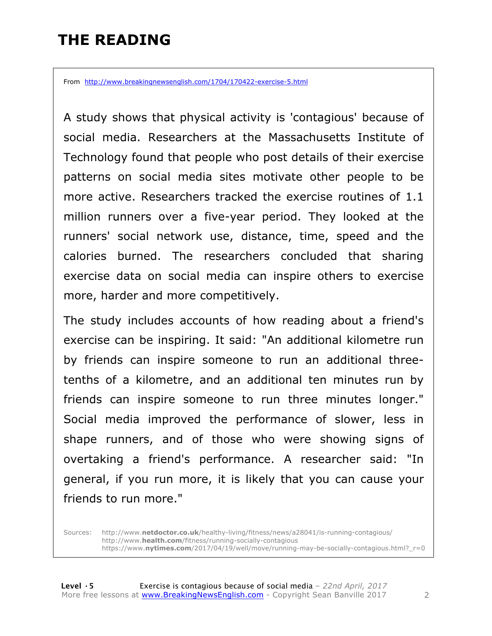### **THE READING**

From http://www.breakingnewsenglish.com/1704/170422-exercise-5.html

A study shows that physical activity is 'contagious' because of social media. Researchers at the Massachusetts Institute of Technology found that people who post details of their exercise patterns on social media sites motivate other people to be more active. Researchers tracked the exercise routines of 1.1 million runners over a five-year period. They looked at the runners' social network use, distance, time, speed and the calories burned. The researchers concluded that sharing exercise data on social media can inspire others to exercise more, harder and more competitively.

The study includes accounts of how reading about a friend's exercise can be inspiring. It said: "An additional kilometre run by friends can inspire someone to run an additional threetenths of a kilometre, and an additional ten minutes run by friends can inspire someone to run three minutes longer." Social media improved the performance of slower, less in shape runners, and of those who were showing signs of overtaking a friend's performance. A researcher said: "In general, if you run more, it is likely that you can cause your friends to run more."

Sources: http://www.**netdoctor.co.uk**/healthy-living/fitness/news/a28041/is-running-contagious/ http://www.**health.com**/fitness/running-socially-contagious https://www.**nytimes.com**/2017/04/19/well/move/running-may-be-socially-contagious.html?\_r=0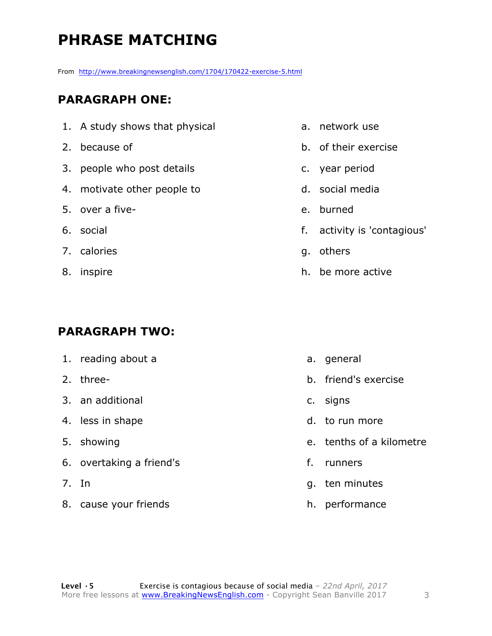# **PHRASE MATCHING**

From http://www.breakingnewsenglish.com/1704/170422-exercise-5.html

#### **PARAGRAPH ONE:**

- 1. A study shows that physical
- 2. because of
- 3. people who post details
- 4. motivate other people to
- 5. over a five-
- 6. social
- 7. calories
- 8. inspire

#### **PARAGRAPH TWO:**

- 1. reading about a
- 2. three-
- 3. an additional
- 4. less in shape
- 5. showing
- 6. overtaking a friend's
- 7. In
- 8. cause your friends
- a. network use
- b. of their exercise
- c. year period
- d. social media
- e. burned
- f. activity is 'contagious'
- g. others
- h. be more active

- a. general
- b. friend's exercise
- c. signs
- d. to run more
- e. tenths of a kilometre
- f. runners
- g. ten minutes
- h. performance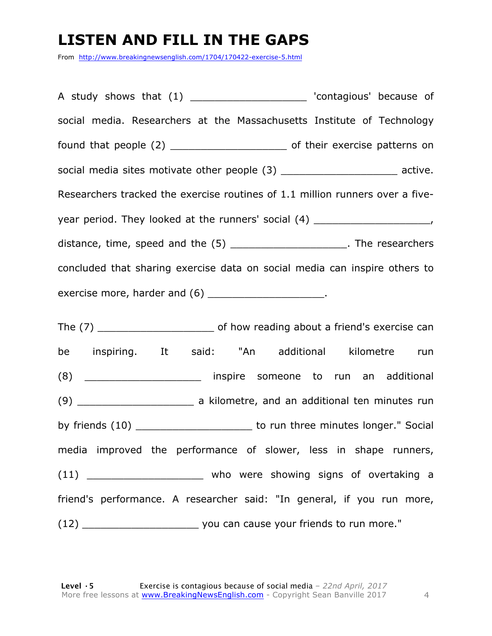### **LISTEN AND FILL IN THE GAPS**

From http://www.breakingnewsenglish.com/1704/170422-exercise-5.html

A study shows that (1) and the contagious' because of social media. Researchers at the Massachusetts Institute of Technology found that people (2) \_\_\_\_\_\_\_\_\_\_\_\_\_\_\_\_\_\_\_ of their exercise patterns on social media sites motivate other people (3) \_\_\_\_\_\_\_\_\_\_\_\_\_\_\_\_\_\_\_\_\_\_\_ active. Researchers tracked the exercise routines of 1.1 million runners over a fiveyear period. They looked at the runners' social (4) \_\_\_\_\_\_\_\_\_\_\_\_\_\_\_\_\_\_\_\_\_\_\_, distance, time, speed and the (5) \_\_\_\_\_\_\_\_\_\_\_\_\_\_\_\_\_\_\_\_\_\_. The researchers concluded that sharing exercise data on social media can inspire others to exercise more, harder and (6) \_\_\_\_\_\_\_\_\_\_\_\_\_\_\_\_\_\_\_\_\_.

The (7) The (7) The (7)  $\blacksquare$  of how reading about a friend's exercise can be inspiring. It said: "An additional kilometre run (8) \_\_\_\_\_\_\_\_\_\_\_\_\_\_\_\_\_\_\_ inspire someone to run an additional (9) \_\_\_\_\_\_\_\_\_\_\_\_\_\_\_\_\_\_\_ a kilometre, and an additional ten minutes run by friends (10) \_\_\_\_\_\_\_\_\_\_\_\_\_\_\_\_\_\_\_\_\_\_\_\_ to run three minutes longer." Social media improved the performance of slower, less in shape runners, (11) \_\_\_\_\_\_\_\_\_\_\_\_\_\_\_\_\_\_\_ who were showing signs of overtaking a friend's performance. A researcher said: "In general, if you run more, (12) \_\_\_\_\_\_\_\_\_\_\_\_\_\_\_\_\_\_\_ you can cause your friends to run more."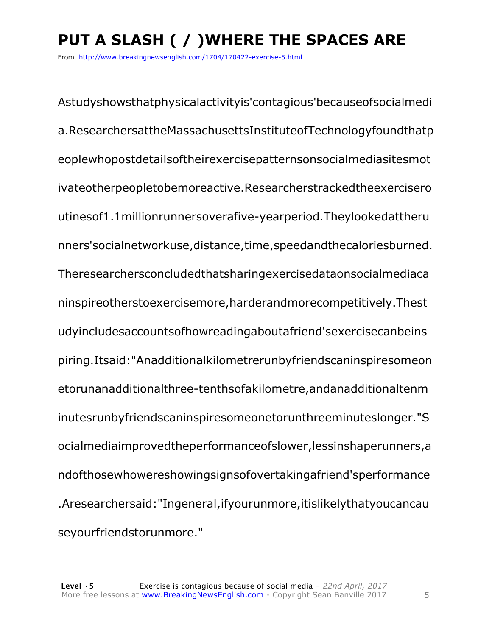# **PUT A SLASH ( / )WHERE THE SPACES ARE**

From http://www.breakingnewsenglish.com/1704/170422-exercise-5.html

Astudyshowsthatphysicalactivityis'contagious'becauseofsocialmedi a.ResearchersattheMassachusettsInstituteofTechnologyfoundthatp eoplewhopostdetailsoftheirexercisepatternsonsocialmediasitesmot ivateotherpeopletobemoreactive.Researcherstrackedtheexercisero utinesof1.1millionrunnersoverafive-yearperiod.Theylookedattheru nners'socialnetworkuse,distance,time,speedandthecaloriesburned. Theresearchersconcludedthatsharingexercisedataonsocialmediaca ninspireotherstoexercisemore,harderandmorecompetitively.Thest udyincludesaccountsofhowreadingaboutafriend'sexercisecanbeins piring.Itsaid:"Anadditionalkilometrerunbyfriendscaninspiresomeon etorunanadditionalthree-tenthsofakilometre,andanadditionaltenm inutesrunbyfriendscaninspiresomeonetorunthreeminuteslonger."S ocialmediaimprovedtheperformanceofslower,lessinshaperunners,a ndofthosewhowereshowingsignsofovertakingafriend'sperformance .Aresearchersaid:"Ingeneral,ifyourunmore,itislikelythatyoucancau seyourfriendstorunmore."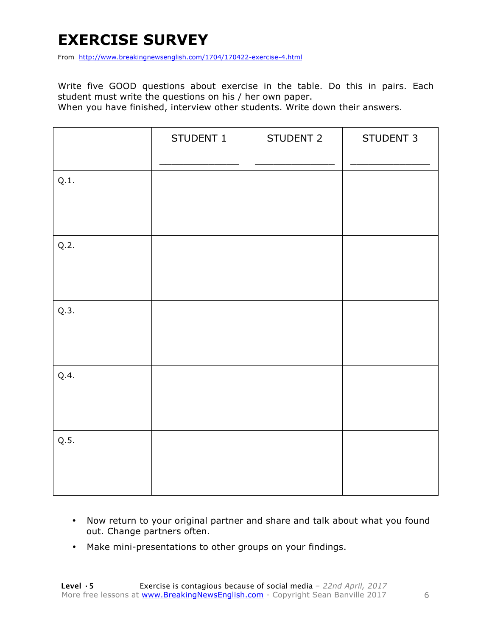### **EXERCISE SURVEY**

From http://www.breakingnewsenglish.com/1704/170422-exercise-4.html

Write five GOOD questions about exercise in the table. Do this in pairs. Each student must write the questions on his / her own paper.

When you have finished, interview other students. Write down their answers.

|      | STUDENT 1 | STUDENT 2 | STUDENT 3 |
|------|-----------|-----------|-----------|
| Q.1. |           |           |           |
| Q.2. |           |           |           |
| Q.3. |           |           |           |
| Q.4. |           |           |           |
| Q.5. |           |           |           |

- Now return to your original partner and share and talk about what you found out. Change partners often.
- Make mini-presentations to other groups on your findings.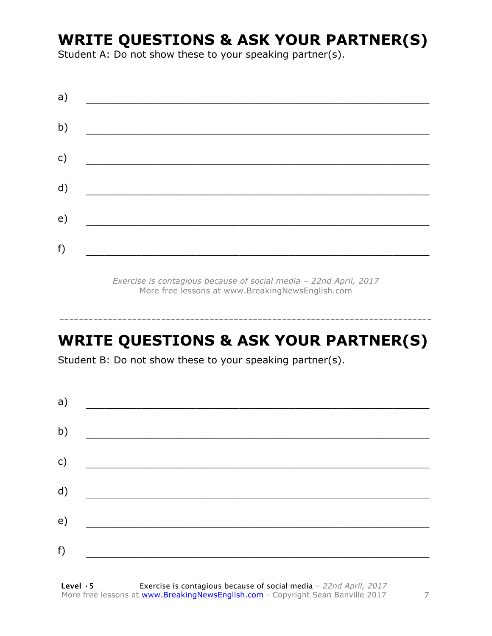### **WRITE QUESTIONS & ASK YOUR PARTNER(S)**

Student A: Do not show these to your speaking partner(s).

| a) |  |  |
|----|--|--|
| b) |  |  |
| c) |  |  |
| d) |  |  |
| e) |  |  |
| f) |  |  |
|    |  |  |

*Exercise is contagious because of social media – 22nd April, 2017* More free lessons at www.BreakingNewsEnglish.com

### **WRITE QUESTIONS & ASK YOUR PARTNER(S)**

-----------------------------------------------------------------------------

Student B: Do not show these to your speaking partner(s).

| a) |  |  |
|----|--|--|
| b) |  |  |
| c) |  |  |
| d) |  |  |
| e) |  |  |
| f) |  |  |
|    |  |  |